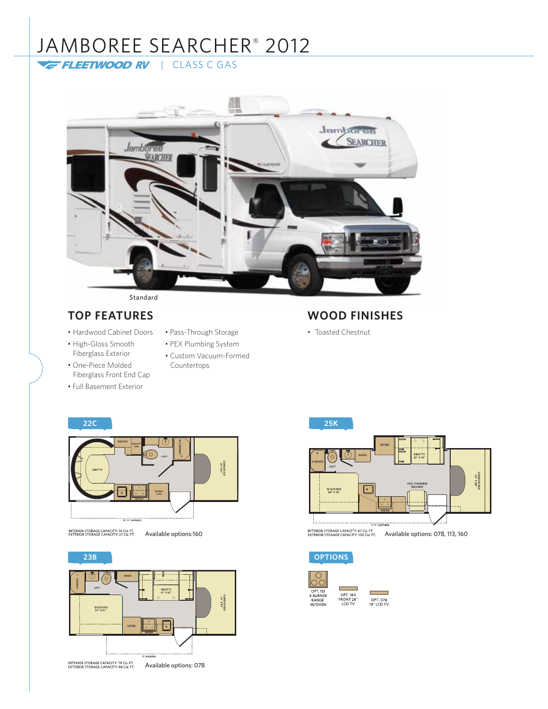# JAMBOREE SEARCHER® 2012

FLEETWOOD RV | CLASS C GAS



### Standard

- Hardwood Cabinet Doors
- High-Gloss Smooth Fiberglass Exterior
- One-Piece Molded Fiberglass Front End Cap
- Full Basement Exterior
- Pass-Through Storage
- PEX Plumbing System
- Custom Vacuum-Formed Countertops

# **TOP FEATURES WOOD FINISHES**

• Toasted Chestnut



INTERIOR STORAGE CAPACITY: 74 CU. FT.<br>EXTERIOR STORAGE CAPACITY: 27 CU. FT.

**23B OPTIONS** ⊙ ″റ .<br>Las CABOVER BEC<br>S4" X 80" QUEEN BED<br>60" X 80 " INTERIOR STORAGE CAPACITY: 79 CU, FT.<br>EXTERIOR STORAGE CAPACITY: 88 CU, FT. Available options: 078





г ۰ OPT. 078<br>19" LCD TV